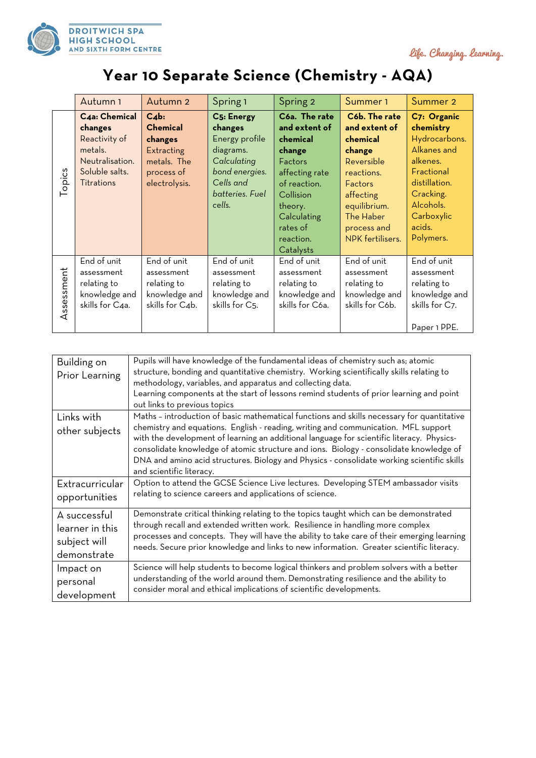



## **Year 10 Separate Science (Chemistry - AQA)**

|           | Autumn 1          | Autumn <sub>2</sub> | Spring 1          | Spring 2        | Summer 1                | Summer 2       |
|-----------|-------------------|---------------------|-------------------|-----------------|-------------------------|----------------|
|           | C4a: Chemical     | $C_4b$ :            | <b>C5: Energy</b> | C6a. The rate   | C6b. The rate           | C7: Organic    |
|           | changes           | <b>Chemical</b>     | changes           | and extent of   | and extent of           | chemistry      |
| opics     | Reactivity of     | changes             | Energy profile    | chemical        | chemical                | Hydrocarbons.  |
|           | metals.           | Extracting          | diagrams.         | change          | change                  | Alkanes and    |
|           | Neutralisation.   | metals. The         | Calculating       | Factors         | Reversible              | alkenes.       |
|           | Soluble salts.    | process of          | bond energies.    | affecting rate  | reactions.              | Fractional     |
|           | <b>Titrations</b> | electrolysis.       | Cells and         | of reaction.    | Factors                 | distillation.  |
|           |                   |                     | batteries. Fuel   | Collision       | affecting               | Cracking.      |
|           |                   |                     | cells.            | theory.         | equilibrium.            | Alcohols.      |
|           |                   |                     |                   | Calculating     | <b>The Haber</b>        | Carboxylic     |
|           |                   |                     |                   | rates of        | process and             | acids.         |
|           |                   |                     |                   | reaction.       | <b>NPK</b> fertilisers. | Polymers.      |
|           |                   |                     |                   | Catalysts       |                         |                |
| ssessment | End of unit       | End of unit         | End of unit       | End of unit     | End of unit             | End of unit    |
|           | assessment        | assessment          | assessment        | assessment      | assessment              | assessment     |
|           | relating to       | relating to         | relating to       | relating to     | relating to             | relating to    |
|           | knowledge and     | knowledge and       | knowledge and     | knowledge and   | knowledge and           | knowledge and  |
|           | skills for C4a.   | skills for C4b.     | skills for C5.    | skills for C6a. | skills for C6b.         | skills for C7. |
| ⋖         |                   |                     |                   |                 |                         |                |
|           |                   |                     |                   |                 |                         | Paper 1 PPE.   |

| Building on<br>Prior Learning | Pupils will have knowledge of the fundamental ideas of chemistry such as; atomic<br>structure, bonding and quantitative chemistry. Working scientifically skills relating to<br>methodology, variables, and apparatus and collecting data.<br>Learning components at the start of lessons remind students of prior learning and point<br>out links to previous topics                                                                                                                             |
|-------------------------------|---------------------------------------------------------------------------------------------------------------------------------------------------------------------------------------------------------------------------------------------------------------------------------------------------------------------------------------------------------------------------------------------------------------------------------------------------------------------------------------------------|
| Links with<br>other subjects  | Maths - introduction of basic mathematical functions and skills necessary for quantitative<br>chemistry and equations. English - reading, writing and communication. MFL support<br>with the development of learning an additional language for scientific literacy. Physics-<br>consolidate knowledge of atomic structure and ions. Biology - consolidate knowledge of<br>DNA and amino acid structures. Biology and Physics - consolidate working scientific skills<br>and scientific literacy. |
| Extracurricular               | Option to attend the GCSE Science Live lectures. Developing STEM ambassador visits                                                                                                                                                                                                                                                                                                                                                                                                                |
| opportunities                 | relating to science careers and applications of science.                                                                                                                                                                                                                                                                                                                                                                                                                                          |
| A successful                  | Demonstrate critical thinking relating to the topics taught which can be demonstrated                                                                                                                                                                                                                                                                                                                                                                                                             |
| learner in this               | through recall and extended written work. Resilience in handling more complex                                                                                                                                                                                                                                                                                                                                                                                                                     |
| subject will                  | processes and concepts. They will have the ability to take care of their emerging learning                                                                                                                                                                                                                                                                                                                                                                                                        |
| demonstrate                   | needs. Secure prior knowledge and links to new information. Greater scientific literacy.                                                                                                                                                                                                                                                                                                                                                                                                          |
| Impact on                     | Science will help students to become logical thinkers and problem solvers with a better                                                                                                                                                                                                                                                                                                                                                                                                           |
| personal                      | understanding of the world around them. Demonstrating resilience and the ability to                                                                                                                                                                                                                                                                                                                                                                                                               |
| development                   | consider moral and ethical implications of scientific developments.                                                                                                                                                                                                                                                                                                                                                                                                                               |